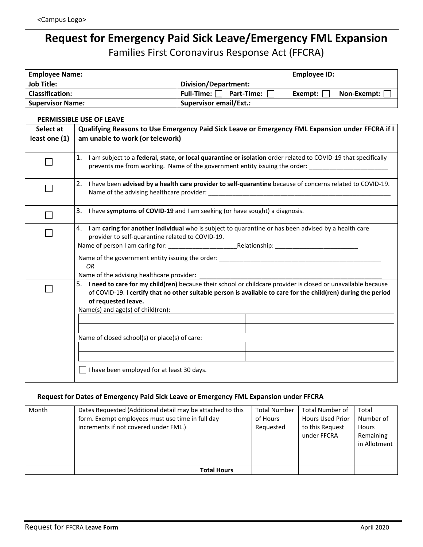## **Request for Emergency Paid Sick Leave/Emergency FML Expansion**  Families First Coronavirus Response Act (FFCRA)

| <b>Employee Name:</b>   |                               | Employee ID:             |
|-------------------------|-------------------------------|--------------------------|
| <b>Job Title:</b>       | Division/Department:          |                          |
| <b>Classification:</b>  | Full-Time: $\Box$ Part-Time:  | Non-Exempt:  <br>Exempt: |
| <b>Supervisor Name:</b> | <b>Supervisor email/Ext.:</b> |                          |

## **PERMISSIBLE USE OF LEAVE**

| Select at     | Qualifying Reasons to Use Emergency Paid Sick Leave or Emergency FML Expansion under FFCRA if I                                                                                                                                                                                                                                                                                                            |  |  |  |
|---------------|------------------------------------------------------------------------------------------------------------------------------------------------------------------------------------------------------------------------------------------------------------------------------------------------------------------------------------------------------------------------------------------------------------|--|--|--|
| least one (1) | am unable to work (or telework)                                                                                                                                                                                                                                                                                                                                                                            |  |  |  |
|               | 1. I am subject to a federal, state, or local quarantine or isolation order related to COVID-19 that specifically<br>prevents me from working. Name of the government entity issuing the order:                                                                                                                                                                                                            |  |  |  |
|               | 2. I have been advised by a health care provider to self-quarantine because of concerns related to COVID-19.                                                                                                                                                                                                                                                                                               |  |  |  |
|               | 3. I have symptoms of COVID-19 and I am seeking (or have sought) a diagnosis.                                                                                                                                                                                                                                                                                                                              |  |  |  |
|               | 4. I am caring for another individual who is subject to quarantine or has been advised by a health care<br>provider to self-quarantine related to COVID-19.<br>Name of the government entity issuing the order: Name of the state of the state of the state of the state of the state of the state of the state of the state of the state of the state of the state of the state of the state<br><b>OR</b> |  |  |  |
|               | 5. I need to care for my child(ren) because their school or childcare provider is closed or unavailable because<br>of COVID-19. I certify that no other suitable person is available to care for the child(ren) during the period<br>of requested leave.<br>Name(s) and age(s) of child(ren):<br>Name of closed school(s) or place(s) of care:                                                             |  |  |  |
|               | I have been employed for at least 30 days.                                                                                                                                                                                                                                                                                                                                                                 |  |  |  |

## **Request for Dates of Emergency Paid Sick Leave or Emergency FML Expansion under FFCRA**

| Month | Dates Requested (Additional detail may be attached to this<br>form. Exempt employees must use time in full day<br>increments if not covered under FML.) | <b>Total Number</b><br>of Hours<br>Requested | <b>Total Number of</b><br><b>Hours Used Prior</b><br>to this Request<br>under FFCRA | Total<br>Number of<br><b>Hours</b><br>Remaining<br>in Allotment |
|-------|---------------------------------------------------------------------------------------------------------------------------------------------------------|----------------------------------------------|-------------------------------------------------------------------------------------|-----------------------------------------------------------------|
|       |                                                                                                                                                         |                                              |                                                                                     |                                                                 |
|       |                                                                                                                                                         |                                              |                                                                                     |                                                                 |
|       | <b>Total Hours</b>                                                                                                                                      |                                              |                                                                                     |                                                                 |